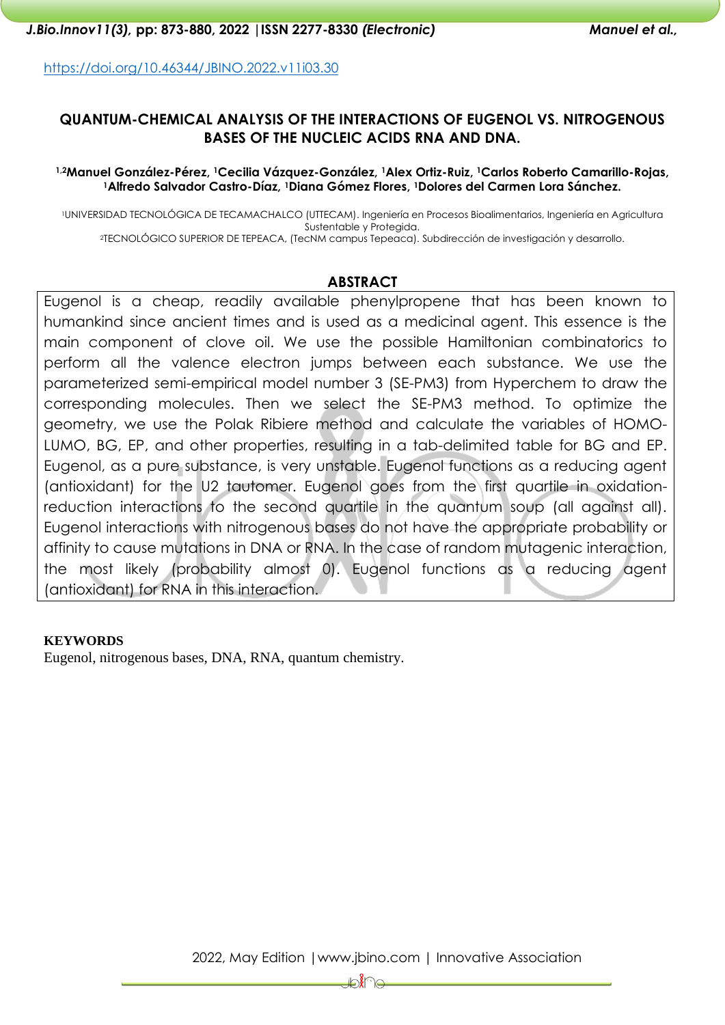<https://doi.org/10.46344/JBINO.2022.v11i03.30>

## **QUANTUM-CHEMICAL ANALYSIS OF THE INTERACTIONS OF EUGENOL VS. NITROGENOUS BASES OF THE NUCLEIC ACIDS RNA AND DNA.**

#### **1,2Manuel González-Pérez, 1Cecilia Vázquez-González, 1Alex Ortiz-Ruiz, 1Carlos Roberto Camarillo-Rojas, <sup>1</sup>Alfredo Salvador Castro-Díaz, <sup>1</sup>Diana Gómez Flores, 1Dolores del Carmen Lora Sánchez.**

<sup>1</sup>UNIVERSIDAD TECNOLÓGICA DE TECAMACHALCO (UTTECAM). Ingeniería en Procesos Bioalimentarios, Ingeniería en Agricultura Sustentable y Protegida. <sup>2</sup>TECNOLÓGICO SUPERIOR DE TEPEACA, (TecNM campus Tepeaca). Subdirección de investigación y desarrollo.

#### **ABSTRACT**

Eugenol is a cheap, readily available phenylpropene that has been known to humankind since ancient times and is used as a medicinal agent. This essence is the main component of clove oil. We use the possible Hamiltonian combinatorics to perform all the valence electron jumps between each substance. We use the parameterized semi-empirical model number 3 (SE-PM3) from Hyperchem to draw the corresponding molecules. Then we select the SE-PM3 method. To optimize the geometry, we use the Polak Ribiere method and calculate the variables of HOMO-LUMO, BG, EP, and other properties, resulting in a tab-delimited table for BG and EP. Eugenol, as a pure substance, is very unstable. Eugenol functions as a reducing agent (antioxidant) for the U2 tautomer. Eugenol goes from the first quartile in oxidationreduction interactions to the second quartile in the quantum soup (all against all). Eugenol interactions with nitrogenous bases do not have the appropriate probability or affinity to cause mutations in DNA or RNA. In the case of random mutagenic interaction, the most likely (probability almost 0). Eugenol functions as a reducing agent (antioxidant) for RNA in this interaction.

#### **KEYWORDS**

Eugenol, nitrogenous bases, DNA, RNA, quantum chemistry.

₽€€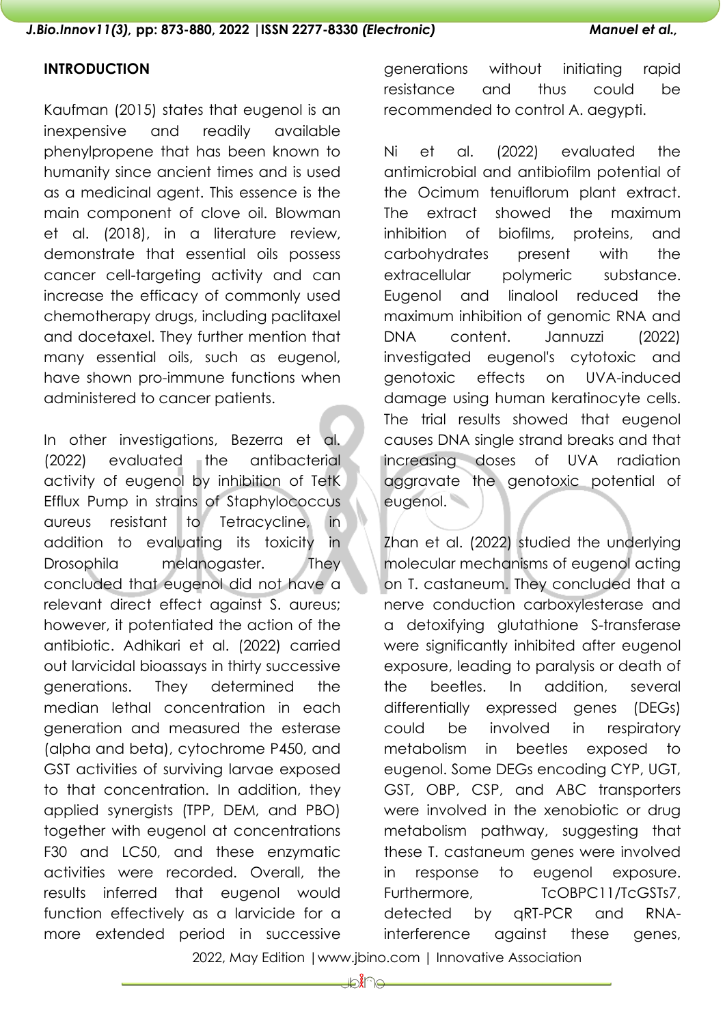## **INTRODUCTION**

Kaufman (2015) states that eugenol is an inexpensive and readily available phenylpropene that has been known to humanity since ancient times and is used as a medicinal agent. This essence is the main component of clove oil. Blowman et al. (2018), in a literature review, demonstrate that essential oils possess cancer cell-targeting activity and can increase the efficacy of commonly used chemotherapy drugs, including paclitaxel and docetaxel. They further mention that many essential oils, such as eugenol, have shown pro-immune functions when administered to cancer patients.

In other investigations, Bezerra et al. (2022) evaluated the antibacterial activity of eugenol by inhibition of TetK Efflux Pump in strains of Staphylococcus aureus resistant to Tetracycline, in addition to evaluating its toxicity in Drosophila melanogaster. They concluded that eugenol did not have a relevant direct effect against S. aureus; however, it potentiated the action of the antibiotic. Adhikari et al. (2022) carried out larvicidal bioassays in thirty successive generations. They determined the median lethal concentration in each generation and measured the esterase (alpha and beta), cytochrome P450, and GST activities of surviving larvae exposed to that concentration. In addition, they applied synergists (TPP, DEM, and PBO) together with eugenol at concentrations F30 and LC50, and these enzymatic activities were recorded. Overall, the results inferred that eugenol would function effectively as a larvicide for a more extended period in successive

generations without initiating rapid resistance and thus could be recommended to control A. aegypti.

Ni et al. (2022) evaluated the antimicrobial and antibiofilm potential of the Ocimum tenuiflorum plant extract. The extract showed the maximum inhibition of biofilms, proteins, and carbohydrates present with the extracellular polymeric substance. Eugenol and linalool reduced the maximum inhibition of genomic RNA and DNA content. Jannuzzi (2022) investigated eugenol's cytotoxic and genotoxic effects on UVA-induced damage using human keratinocyte cells. The trial results showed that eugenol causes DNA single strand breaks and that increasing doses of UVA radiation aggravate the genotoxic potential of eugenol.

Zhan et al. (2022) studied the underlying molecular mechanisms of eugenol acting on T. castaneum. They concluded that a nerve conduction carboxylesterase and a detoxifying glutathione S-transferase were significantly inhibited after eugenol exposure, leading to paralysis or death of the beetles. In addition, several differentially expressed genes (DEGs) could be involved in respiratory metabolism in beetles exposed to eugenol. Some DEGs encoding CYP, UGT, GST, OBP, CSP, and ABC transporters were involved in the xenobiotic or drug metabolism pathway, suggesting that these T. castaneum genes were involved in response to eugenol exposure. Furthermore, TcOBPC11/TcGSTs7, detected by qRT-PCR and RNAinterference against these genes,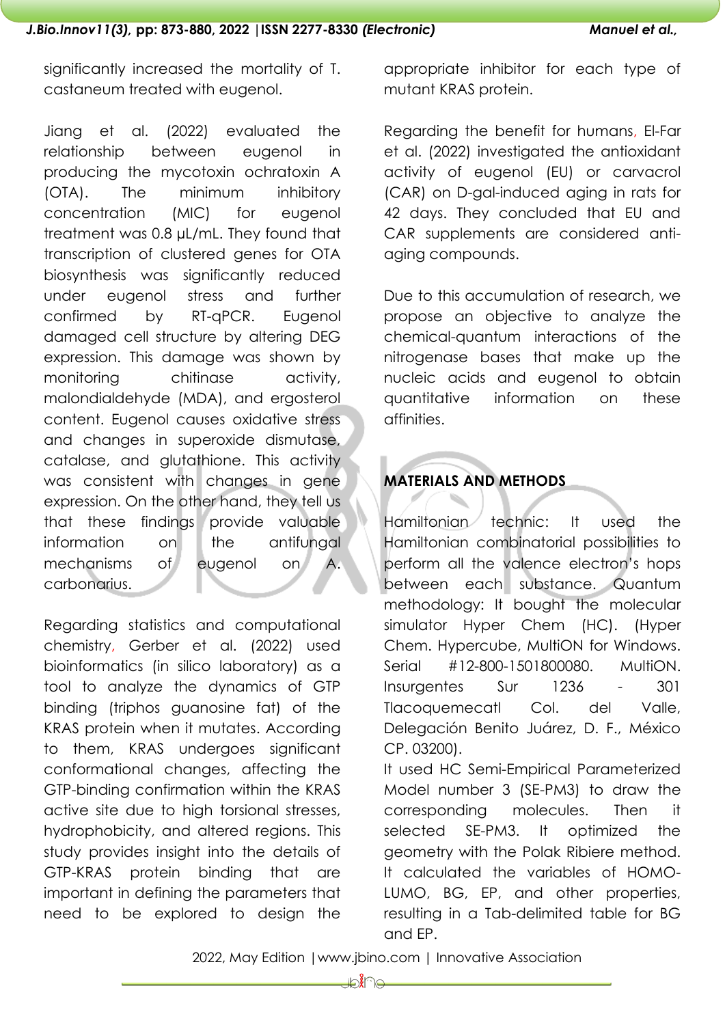significantly increased the mortality of T. castaneum treated with eugenol.

Jiang et al. (2022) evaluated the relationship between eugenol in producing the mycotoxin ochratoxin A (OTA). The minimum inhibitory concentration (MIC) for eugenol treatment was 0.8 µL/mL. They found that transcription of clustered genes for OTA biosynthesis was significantly reduced under eugenol stress and further confirmed by RT-qPCR. Eugenol damaged cell structure by altering DEG expression. This damage was shown by monitoring chitinase activity, malondialdehyde (MDA), and ergosterol content. Eugenol causes oxidative stress and changes in superoxide dismutase, catalase, and glutathione. This activity was consistent with changes in gene expression. On the other hand, they tell us that these findings provide valuable information on the antifungal mechanisms of eugenol on A. carbonarius.

Regarding statistics and computational chemistry, Gerber et al. (2022) used bioinformatics (in silico laboratory) as a tool to analyze the dynamics of GTP binding (triphos guanosine fat) of the KRAS protein when it mutates. According to them, KRAS undergoes significant conformational changes, affecting the GTP-binding confirmation within the KRAS active site due to high torsional stresses, hydrophobicity, and altered regions. This study provides insight into the details of GTP-KRAS protein binding that are important in defining the parameters that need to be explored to design the

appropriate inhibitor for each type of mutant KRAS protein.

Regarding the benefit for humans, El-Far et al. (2022) investigated the antioxidant activity of eugenol (EU) or carvacrol (CAR) on D-gal-induced aging in rats for 42 days. They concluded that EU and CAR supplements are considered antiaging compounds.

Due to this accumulation of research, we propose an objective to analyze the chemical-quantum interactions of the nitrogenase bases that make up the nucleic acids and eugenol to obtain quantitative information on these affinities.

# **MATERIALS AND METHODS**

Hamiltonian technic: It used the Hamiltonian combinatorial possibilities to perform all the valence electron's hops between each substance. Quantum methodology: It bought the molecular simulator Hyper Chem (HC). (Hyper Chem. Hypercube, MultiON for Windows. Serial #12-800-1501800080. MultiON. Insurgentes Sur 1236 - 301 Tlacoquemecatl Col. del Valle, Delegación Benito Juárez, D. F., México CP. 03200).

It used HC Semi-Empirical Parameterized Model number 3 (SE-PM3) to draw the corresponding molecules. Then it selected SE-PM3. It optimized the geometry with the Polak Ribiere method. It calculated the variables of HOMO-LUMO, BG, EP, and other properties, resulting in a Tab-delimited table for BG and EP.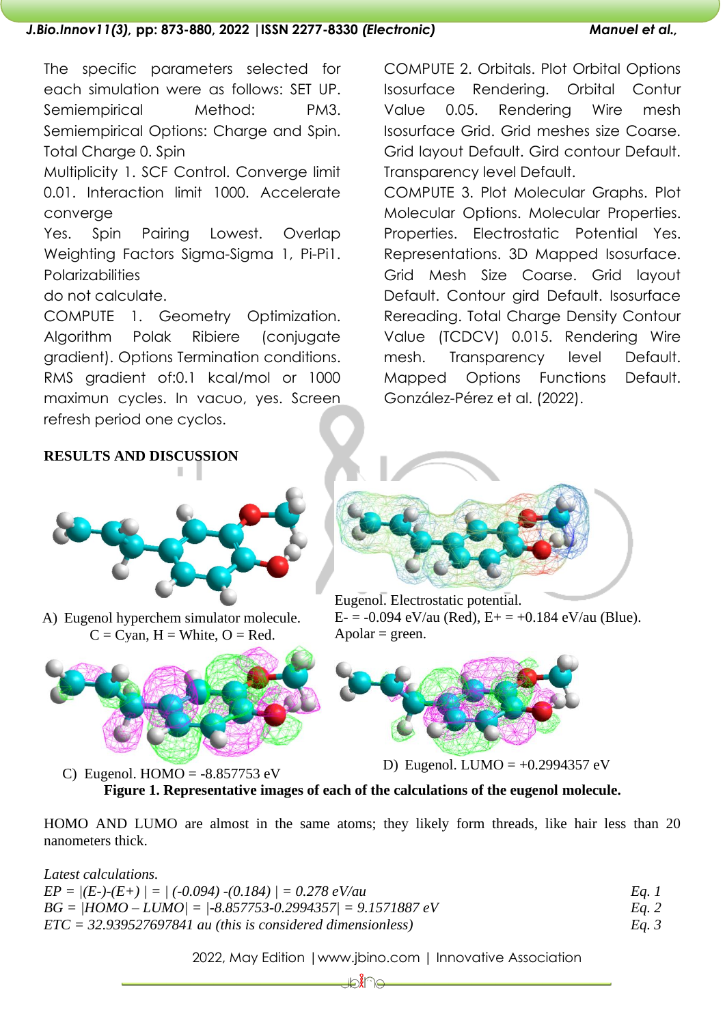#### *J.Bio.Innov11(3),* **pp: 873-880, 2022 |ISSN 2277-8330** *(Electronic) Manuel et al.,*

The specific parameters selected for each simulation were as follows: SET UP. Semiempirical Method: PM3. Semiempirical Options: Charge and Spin. Total Charge 0. Spin

Multiplicity 1. SCF Control. Converge limit 0.01. Interaction limit 1000. Accelerate converge

Yes. Spin Pairing Lowest. Overlap Weighting Factors Sigma-Sigma 1, Pi-Pi1. **Polarizabilities** 

do not calculate.

COMPUTE 1. Geometry Optimization. Algorithm Polak Ribiere (conjugate gradient). Options Termination conditions. RMS gradient of:0.1 kcal/mol or 1000 maximun cycles. In vacuo, yes. Screen refresh period one cyclos.

COMPUTE 2. Orbitals. Plot Orbital Options Isosurface Rendering. Orbital Contur Value 0.05. Rendering Wire mesh Isosurface Grid. Grid meshes size Coarse. Grid layout Default. Gird contour Default. Transparency level Default.

COMPUTE 3. Plot Molecular Graphs. Plot Molecular Options. Molecular Properties. Properties. Electrostatic Potential Yes. Representations. 3D Mapped Isosurface. Grid Mesh Size Coarse. Grid layout Default. Contour gird Default. Isosurface Rereading. Total Charge Density Contour Value (TCDCV) 0.015. Rendering Wire mesh. Transparency level Default. Mapped Options Functions Default. González-Pérez et al. (2022).

#### **RESULTS AND DISCUSSION** п



A) Eugenol hyperchem simulator molecule.  $C = C$ yan,  $H =$  White,  $O =$  Red.



C) Eugenol. HOMO = -8.857753 eV D) Eugenol. LUMO = +0.2994357 eV



E- = -0.094 eV/au (Red), E+ = +0.184 eV/au (Blue).  $A polar = green.$ 



**Figure 1. Representative images of each of the calculations of the eugenol molecule.**

HOMO AND LUMO are almost in the same atoms; they likely form threads, like hair less than 20 nanometers thick.

*Latest calculations.*

| $EP =  (E-)(E+)   =   (-0.094) - (0.184)   = 0.278 \text{ eV/au}$ | Eq. 1   |
|-------------------------------------------------------------------|---------|
| $BG =  HOMO - LUMO  =  -8.857753 - 0.2994357  = 9.1571887 eV$     | Eq. 2   |
| $ETC = 32.939527697841$ au (this is considered dimensionless)     | Eq. $3$ |

2022, May Edition |www.jbino.com | Innovative Association

₽€€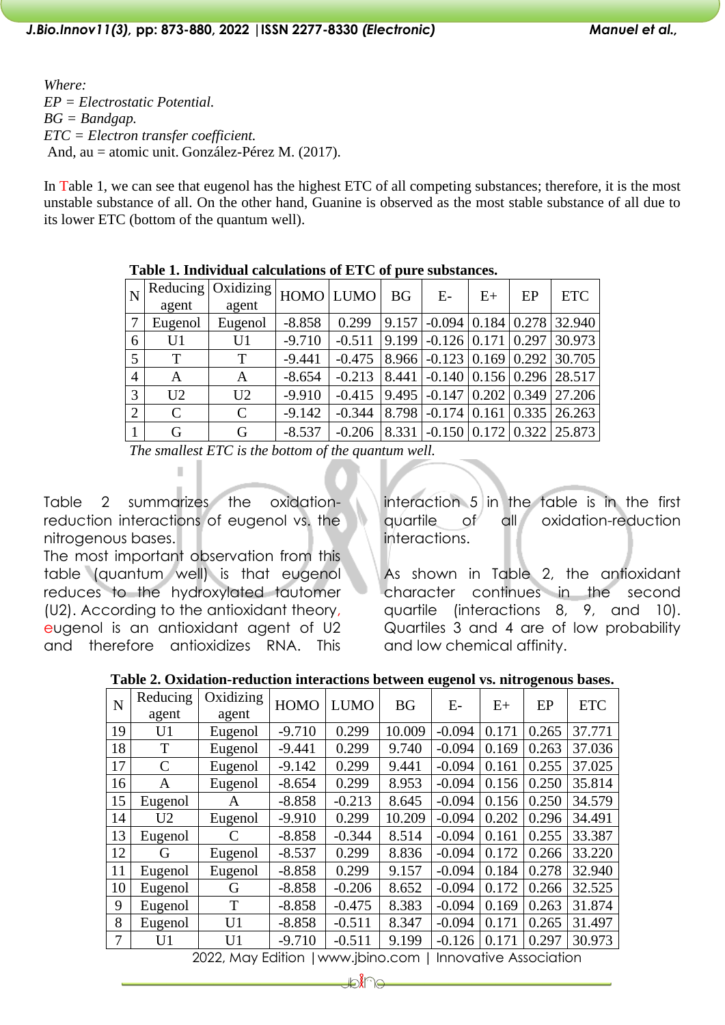*Where: EP = Electrostatic Potential. BG = Bandgap. ETC = Electron transfer coefficient.* And, au = atomic unit. González-Pérez M. (2017).

In Table 1, we can see that eugenol has the highest ETC of all competing substances; therefore, it is the most unstable substance of all. On the other hand, Guanine is observed as the most stable substance of all due to its lower ETC (bottom of the quantum well).

| $\overline{N}$ |                | Reducing   Oxidizing   HOMO   LUMO <sup> </sup> |          |          | <b>BG</b> | $E-$                   | $E+$ | EP | <b>ETC</b>                                                        |
|----------------|----------------|-------------------------------------------------|----------|----------|-----------|------------------------|------|----|-------------------------------------------------------------------|
|                | agent          | agent                                           |          |          |           |                        |      |    |                                                                   |
| 7              | Eugenol        | Eugenol                                         | $-8.858$ | 0.299    |           |                        |      |    | $\vert 9.157 \vert$ -0.094 $\vert 0.184 \vert 0.278 \vert 32.940$ |
| 6              | U1             | U <sub>1</sub>                                  | $-9.710$ | $-0.511$ |           |                        |      |    | $\vert 9.199 \vert$ -0.126 $\vert 0.171 \vert 0.297 \vert 30.973$ |
| 5 <sup>5</sup> | T              | T                                               | $-9.441$ | $-0.475$ |           |                        |      |    | $8.966$ -0.123 0.169 0.292 30.705                                 |
| $\overline{4}$ | A              | A                                               | $-8.654$ | $-0.213$ |           |                        |      |    | $\vert 8.441 \vert$ -0.140 $\vert 0.156 \vert 0.296 \vert 28.517$ |
| 3              | U <sub>2</sub> | U <sub>2</sub>                                  | $-9.910$ | $-0.415$ |           |                        |      |    | $\vert 9.495 \vert$ -0.147 $\vert 0.202 \vert 0.349 \vert 27.206$ |
| 2              | $\mathcal{C}$  | $\mathcal{C}$                                   | $-9.142$ | $-0.344$ |           | $8.798$ -0.174   0.161 |      |    | $0.335$ 26.263                                                    |
|                | G              | G                                               | $-8.537$ | $-0.206$ |           |                        |      |    | 8.331 -0.150 0.172 0.322 25.873                                   |

#### **Table 1. Individual calculations of ETC of pure substances.**

*The smallest ETC is the bottom of the quantum well.*

Table 2 summarizes the oxidationreduction interactions of eugenol vs. the nitrogenous bases.

I.

The most important observation from this table (quantum well) is that eugenol reduces to the hydroxylated tautomer (U2). According to the antioxidant theory, eugenol is an antioxidant agent of U2 and therefore antioxidizes RNA. This

interaction 5 in the table is in the first quartile of all oxidation-reduction interactions.

As shown in Table 2, the antioxidant character continues in the second quartile (interactions 8, 9, and 10). Quartiles 3 and 4 are of low probability and low chemical affinity.

|  |  | Table 2. Oxidation-reduction interactions between eugenol vs. nitrogenous bases. |  |  |  |
|--|--|----------------------------------------------------------------------------------|--|--|--|
|  |  |                                                                                  |  |  |  |

| N  | Reducing       | Oxidizing      | <b>HOMO</b> | <b>LUMO</b> | <b>BG</b> | $E-$     | $E+$  | EP    | <b>ETC</b> |  |
|----|----------------|----------------|-------------|-------------|-----------|----------|-------|-------|------------|--|
|    | agent          | agent          |             |             |           |          |       |       |            |  |
| 19 | U1             | Eugenol        | $-9.710$    | 0.299       | 10.009    | $-0.094$ | 0.171 | 0.265 | 37.771     |  |
| 18 | T              | Eugenol        | $-9.441$    | 0.299       | 9.740     | $-0.094$ | 0.169 | 0.263 | 37.036     |  |
| 17 | $\mathsf{C}$   | Eugenol        | $-9.142$    | 0.299       | 9.441     | $-0.094$ | 0.161 | 0.255 | 37.025     |  |
| 16 | A              | Eugenol        | $-8.654$    | 0.299       | 8.953     | $-0.094$ | 0.156 | 0.250 | 35.814     |  |
| 15 | Eugenol        | A              | $-8.858$    | $-0.213$    | 8.645     | $-0.094$ | 0.156 | 0.250 | 34.579     |  |
| 14 | U <sub>2</sub> | Eugenol        | $-9.910$    | 0.299       | 10.209    | $-0.094$ | 0.202 | 0.296 | 34.491     |  |
| 13 | Eugenol        | $\subset$      | $-8.858$    | $-0.344$    | 8.514     | $-0.094$ | 0.161 | 0.255 | 33.387     |  |
| 12 | G              | Eugenol        | $-8.537$    | 0.299       | 8.836     | $-0.094$ | 0.172 | 0.266 | 33.220     |  |
| 11 | Eugenol        | Eugenol        | $-8.858$    | 0.299       | 9.157     | $-0.094$ | 0.184 | 0.278 | 32.940     |  |
| 10 | Eugenol        | G              | $-8.858$    | $-0.206$    | 8.652     | $-0.094$ | 0.172 | 0.266 | 32.525     |  |
| 9  | Eugenol        | T              | $-8.858$    | $-0.475$    | 8.383     | $-0.094$ | 0.169 | 0.263 | 31.874     |  |
| 8  | Eugenol        | U <sub>1</sub> | $-8.858$    | $-0.511$    | 8.347     | $-0.094$ | 0.171 | 0.265 | 31.497     |  |
| 7  | U <sub>1</sub> | U <sub>1</sub> | $-9.710$    | $-0.511$    | 9.199     | $-0.126$ | 0.171 | 0.297 | 30.973     |  |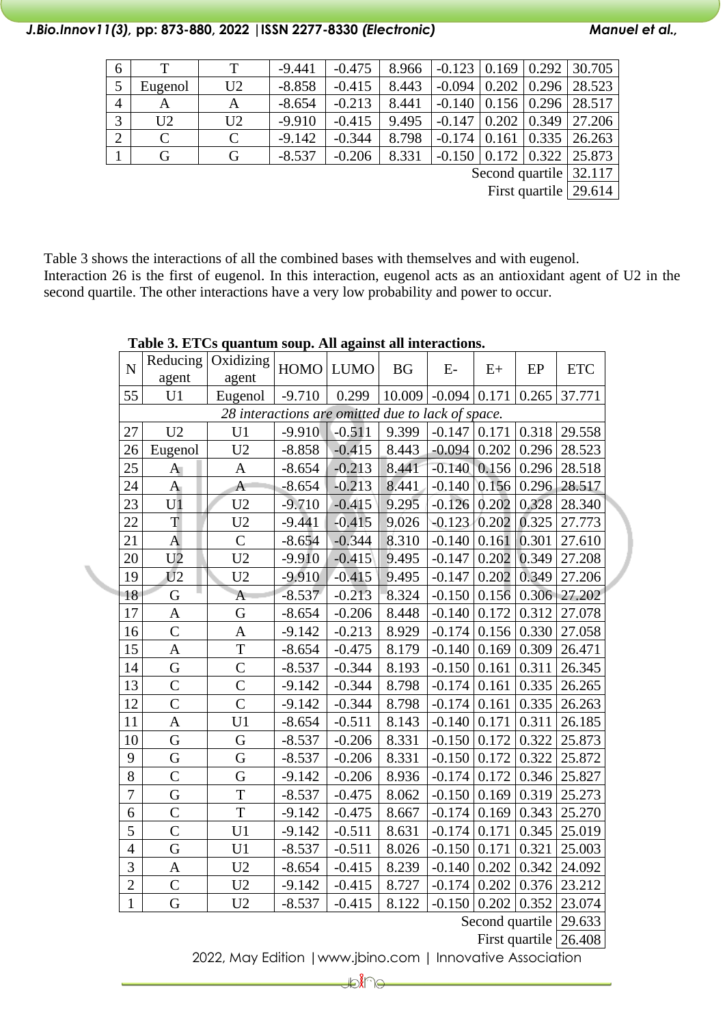## *J.Bio.Innov11(3),* **pp: 873-880, 2022 |ISSN 2277-8330** *(Electronic) Manuel et al.,*

| 6                      |                |                | $-9.441$ | $-0.475$ | 8.966 | $\vert$ -0.123 $\vert$ 0.169 $\vert$ 0.292 $\vert$ 30.705 |  |  |                                        |  |
|------------------------|----------------|----------------|----------|----------|-------|-----------------------------------------------------------|--|--|----------------------------------------|--|
| $5\overline{)}$        | Eugenol        | U <sub>2</sub> | $-8.858$ | $-0.415$ | 8.443 | $-0.094$                                                  |  |  | $\vert 0.202 \vert 0.296 \vert 28.523$ |  |
| $\overline{4}$         | А              | Α              | $-8.654$ | $-0.213$ | 8.441 |                                                           |  |  | $-0.140$   0.156   0.296   28.517      |  |
| 3                      | U <sub>2</sub> | U <sub>2</sub> | $-9.910$ | $-0.415$ | 9.495 | $-0.147$                                                  |  |  | $\vert 0.202 \vert 0.349 \vert 27.206$ |  |
| $\overline{2}$         | $\mathcal{C}$  | $\mathcal{C}$  | $-9.142$ | $-0.344$ | 8.798 | $-0.174$ 0.161                                            |  |  | $0.335$   26.263                       |  |
|                        | G              | G              | $-8.537$ | $-0.206$ | 8.331 |                                                           |  |  | $-0.150$   0.172   0.322   25.873      |  |
| Second quartile 32.117 |                |                |          |          |       |                                                           |  |  |                                        |  |

First quartile 29.614

Table 3 shows the interactions of all the combined bases with themselves and with eugenol. Interaction 26 is the first of eugenol. In this interaction, eugenol acts as an antioxidant agent of U2 in the second quartile. The other interactions have a very low probability and power to occur.

| $\overline{N}$ | Reducing        | Oxidizing                                         | <b>HOMO</b> | <b>LUMO</b> | <b>BG</b> | $E-$                | $E+$  | EP    | <b>ETC</b> |
|----------------|-----------------|---------------------------------------------------|-------------|-------------|-----------|---------------------|-------|-------|------------|
|                | agent           | agent                                             |             |             |           |                     |       |       |            |
| 55             | U1              | Eugenol                                           | $-9.710$    | 0.299       | 10.009    | $-0.094$ 0.171      |       | 0.265 | 37.771     |
|                |                 | 28 interactions are omitted due to lack of space. |             |             |           |                     |       |       |            |
| 27             | U <sub>2</sub>  | U1                                                | $-9.910$    | $-0.511$    | 9.399     | $-0.147$            | 0.171 | 0.318 | 29.558     |
| 26             | Eugenol         | U <sub>2</sub>                                    | $-8.858$    | $-0.415$    | 8.443     | $-0.094$            | 0.202 | 0.296 | 28.523     |
| 25             | $\mathbf{A}$    | $\mathbf{A}$                                      | $-8.654$    | $-0.213$    | 8.441     | $-0.140$            | 0.156 | 0.296 | 28.518     |
| 24             | $\mathbf{A}$    | $\mathbf{A}$                                      | $-8.654$    | $-0.213$    | 8.441     | $-0.140$            | 0.156 | 0.296 | 28.517     |
| 23             | U <sub>1</sub>  | U <sub>2</sub>                                    | $-9.710$    | $-0.415$    | 9.295     | $-0.126$            | 0.202 | 0.328 | 28.340     |
| 22             | T               | U <sub>2</sub>                                    | $-9.441$    | $-0.415$    | 9.026     | $-0.123 \mid 0.202$ |       | 0.325 | 27.773     |
| 21             | $\mathbf{A}$    | $\overline{C}$                                    | $-8.654$    | $-0.344$    | 8.310     | $-0.140$            | 0.161 | 0.301 | 27.610     |
| 20             | U <sub>2</sub>  | U <sub>2</sub>                                    | $-9.910$    | $-0.415$    | 9.495     | $-0.147$            | 0.202 | 0.349 | 27.208     |
| 19             | $\overline{U2}$ | U <sub>2</sub>                                    | $-9.910$    | $-0.415$    | 9.495     | $-0.147$            | 0.202 | 0.349 | 27.206     |
| 18             | G               | A                                                 | $-8.537$    | $-0.213$    | 8.324     | $-0.150$            | 0.156 | 0.306 | 27.202     |
| 17             | $\mathbf{A}$    | G                                                 | $-8.654$    | $-0.206$    | 8.448     | $-0.140$            | 0.172 | 0.312 | 27.078     |
| 16             | $\overline{C}$  | $\mathbf A$                                       | $-9.142$    | $-0.213$    | 8.929     | $-0.174$            | 0.156 | 0.330 | 27.058     |
| 15             | A               | $\mathbf T$                                       | $-8.654$    | $-0.475$    | 8.179     | $-0.140$            | 0.169 | 0.309 | 26.471     |
| 14             | G               | $\overline{C}$                                    | $-8.537$    | $-0.344$    | 8.193     | $-0.150$            | 0.161 | 0.311 | 26.345     |
| 13             | $\mathcal{C}$   | $\mathcal{C}$                                     | $-9.142$    | $-0.344$    | 8.798     | $-0.174$            | 0.161 | 0.335 | 26.265     |
| 12             | $\overline{C}$  | $\overline{C}$                                    | $-9.142$    | $-0.344$    | 8.798     | $-0.174$ 0.161      |       | 0.335 | 26.263     |
| 11             | $\overline{A}$  | U <sub>1</sub>                                    | $-8.654$    | $-0.511$    | 8.143     | $-0.140$            | 0.171 | 0.311 | 26.185     |
| 10             | G               | G                                                 | $-8.537$    | $-0.206$    | 8.331     | $-0.150$            | 0.172 | 0.322 | 25.873     |
| 9              | G               | G                                                 | $-8.537$    | $-0.206$    | 8.331     | $-0.150$            | 0.172 | 0.322 | 25.872     |
| 8              | $\mathcal{C}$   | G                                                 | $-9.142$    | $-0.206$    | 8.936     | $-0.174$            | 0.172 | 0.346 | 25.827     |
| $\overline{7}$ | G               | T                                                 | $-8.537$    | $-0.475$    | 8.062     | $-0.150$            | 0.169 | 0.319 | 25.273     |
| 6              | $\overline{C}$  | T                                                 | $-9.142$    | $-0.475$    | 8.667     | $-0.174$            | 0.169 | 0.343 | 25.270     |
| 5              | $\overline{C}$  | U <sub>1</sub>                                    | $-9.142$    | $-0.511$    | 8.631     | $-0.174$            | 0.171 | 0.345 | 25.019     |
| $\overline{4}$ | G               | U1                                                | $-8.537$    | $-0.511$    | 8.026     | $-0.150$            | 0.171 | 0.321 | 25.003     |
| 3              | $\mathbf A$     | U <sub>2</sub>                                    | $-8.654$    | $-0.415$    | 8.239     | $-0.140$            | 0.202 | 0.342 | 24.092     |
| $\overline{2}$ | $\overline{C}$  | U <sub>2</sub>                                    | $-9.142$    | $-0.415$    | 8.727     | $-0.174$            | 0.202 | 0.376 | 23.212     |
| $\mathbf{1}$   | G               | U2                                                | $-8.537$    | $-0.415$    | 8.122     | $-0.150$            | 0.202 | 0.352 | 23.074     |
|                |                 |                                                   |             |             |           |                     |       |       |            |

## **Table 3. ETCs quantum soup. All against all interactions.**

Second quartile 29.633

First quartile 26.408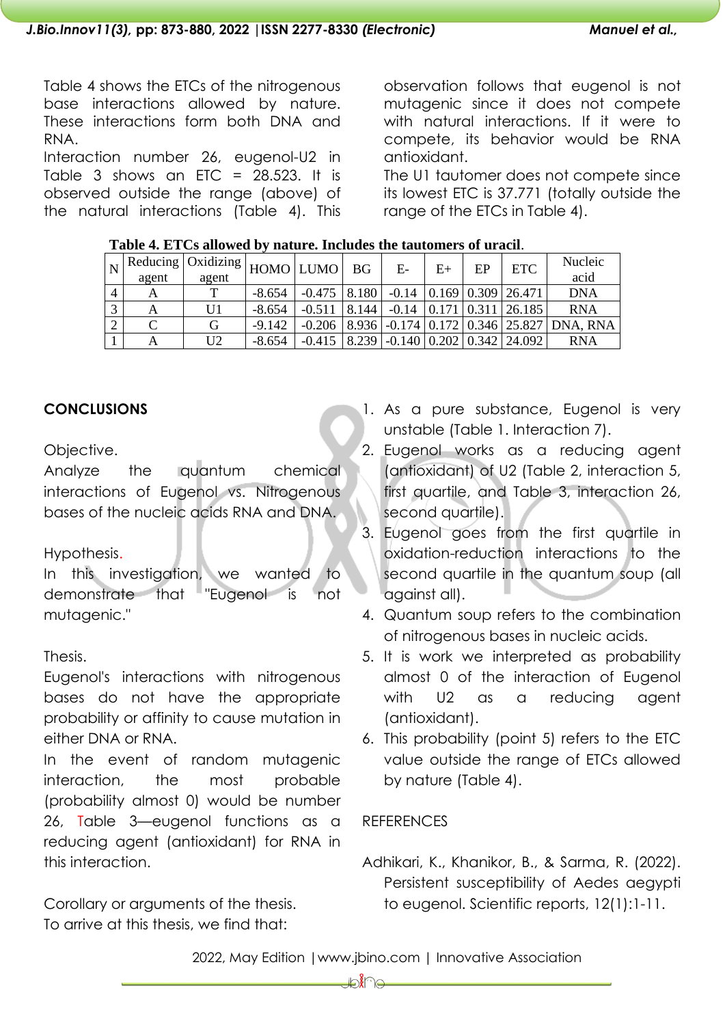Table 4 shows the ETCs of the nitrogenous base interactions allowed by nature. These interactions form both DNA and RNA.

Interaction number 26, eugenol-U2 in Table 3 shows an ETC =  $28.523$ . It is observed outside the range (above) of the natural interactions (Table 4). This observation follows that eugenol is not mutagenic since it does not compete with natural interactions. If it were to compete, its behavior would be RNA antioxidant.

The U1 tautomer does not compete since its lowest ETC is 37.771 (totally outside the range of the ETCs in Table 4).

|                | agent | Reducing   Oxidizing  <br>agent | HOMO LUMO BG |                                                      |       | $E-$    | E+                              | EP | <b>ETC</b> | <b>Nucleic</b><br>acid                                          |
|----------------|-------|---------------------------------|--------------|------------------------------------------------------|-------|---------|---------------------------------|----|------------|-----------------------------------------------------------------|
| $\overline{4}$ |       | $\mathbf{T}$                    | $-8.654$     | $-0.475$   8.180   $-0.14$   0.169   0.309   26.471  |       |         |                                 |    |            | <b>DNA</b>                                                      |
| $\mathbf{z}$   |       | U1                              | $-8.654$     | $-0.511$                                             | 8.144 | $-0.14$ | $\vert 0.171 \vert 0.311 \vert$ |    | 26.185     | <b>RNA</b>                                                      |
|                |       | G                               | $-9.142$     |                                                      |       |         |                                 |    |            | $-0.206$   8.936   $-0.174$   0.172   0.346   25.827   DNA, RNA |
|                |       | U <sub>2</sub>                  | $-8.654$     | $-0.415$   8.239   $-0.140$   0.202   0.342   24.092 |       |         |                                 |    |            | <b>RNA</b>                                                      |

## **Table 4. ETCs allowed by nature. Includes the tautomers of uracil**.

## **CONCLUSIONS**

Objective.

Analyze the quantum chemical interactions of Eugenol vs. Nitrogenous bases of the nucleic acids RNA and DNA.

## Hypothesis.

In this investigation, we wanted to demonstrate that "Eugenol is not mutagenic."

# Thesis.

Eugenol's interactions with nitrogenous bases do not have the appropriate probability or affinity to cause mutation in either DNA or RNA.

In the event of random mutagenic interaction, the most probable (probability almost 0) would be number 26, Table 3—eugenol functions as a reducing agent (antioxidant) for RNA in this interaction.

Corollary or arguments of the thesis. To arrive at this thesis, we find that:

- 1. As a pure substance, Eugenol is very unstable (Table 1. Interaction 7).
- 2. Eugenol works as a reducing agent (antioxidant) of U2 (Table 2, interaction 5, first quartile, and Table 3, interaction 26, second quartile).
- 3. Eugenol goes from the first quartile in oxidation-reduction interactions to the second quartile in the quantum soup (all against all).
- 4. Quantum soup refers to the combination of nitrogenous bases in nucleic acids.
- 5. It is work we interpreted as probability almost 0 of the interaction of Eugenol with U2 as a reducing agent (antioxidant).
- 6. This probability (point 5) refers to the ETC value outside the range of ETCs allowed by nature (Table 4).

# **REFERENCES**

Adhikari, K., Khanikor, B., & Sarma, R. (2022). Persistent susceptibility of Aedes aegypti to eugenol. Scientific reports, 12(1):1-11.